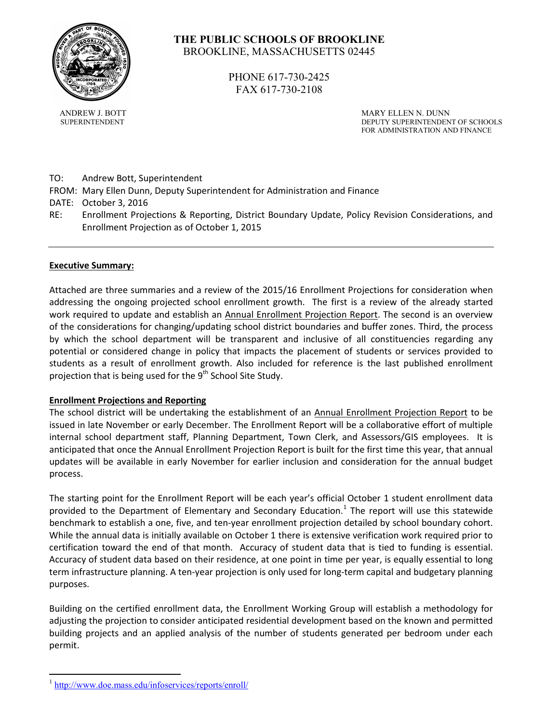

# **THE PUBLIC SCHOOLS OF BROOKLINE** BROOKLINE, MASSACHUSETTS 02445

PHONE 617-730-2425 FAX 617-730-2108

ANDREW J. BOTT SERVICES AND ARY ELLEN N. DUNN SUPERINTENDENT DEPUTY SUPERINTENDENT OF SCHOOLS FOR ADMINISTRATION AND FINANCE

- TO: Andrew Bott, Superintendent
- FROM: Mary Ellen Dunn, Deputy Superintendent for Administration and Finance
- DATE: October 3, 2016
- RE: Enrollment Projections & Reporting, District Boundary Update, Policy Revision Considerations, and Enrollment Projection as of October 1, 2015

#### **Executive Summary:**

Attached are three summaries and a review of the 2015/16 Enrollment Projections for consideration when addressing the ongoing projected school enrollment growth. The first is a review of the already started work required to update and establish an Annual Enrollment Projection Report. The second is an overview of the considerations for changing/updating school district boundaries and buffer zones. Third, the process by which the school department will be transparent and inclusive of all constituencies regarding any potential or considered change in policy that impacts the placement of students or services provided to students as a result of enrollment growth. Also included for reference is the last published enrollment projection that is being used for the 9<sup>th</sup> School Site Study.

#### **Enrollment Projections and Reporting**

The school district will be undertaking the establishment of an Annual Enrollment Projection Report to be issued in late November or early December. The Enrollment Report will be a collaborative effort of multiple internal school department staff, Planning Department, Town Clerk, and Assessors/GIS employees. It is anticipated that once the Annual Enrollment Projection Report is built for the first time this year, that annual updates will be available in early November for earlier inclusion and consideration for the annual budget process.

The starting point for the Enrollment Report will be each year's official October 1 student enrollment data provided to the Department of Elementary and Secondary Education.<sup>[1](#page-0-0)</sup> The report will use this statewide benchmark to establish a one, five, and ten-year enrollment projection detailed by school boundary cohort. While the annual data is initially available on October 1 there is extensive verification work required prior to certification toward the end of that month. Accuracy of student data that is tied to funding is essential. Accuracy of student data based on their residence, at one point in time per year, is equally essential to long term infrastructure planning. A ten-year projection is only used for long-term capital and budgetary planning purposes.

Building on the certified enrollment data, the Enrollment Working Group will establish a methodology for adjusting the projection to consider anticipated residential development based on the known and permitted building projects and an applied analysis of the number of students generated per bedroom under each permit.

<span id="page-0-0"></span><sup>&</sup>lt;sup>1</sup> <http://www.doe.mass.edu/infoservices/reports/enroll/>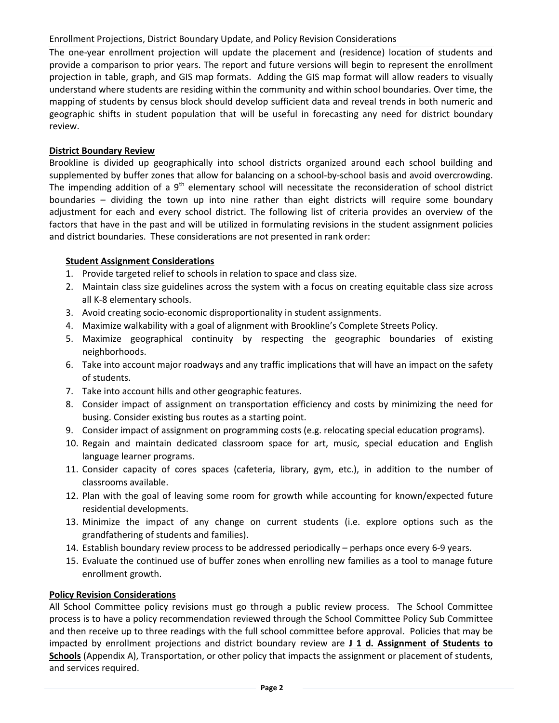The one-year enrollment projection will update the placement and (residence) location of students and provide a comparison to prior years. The report and future versions will begin to represent the enrollment projection in table, graph, and GIS map formats. Adding the GIS map format will allow readers to visually understand where students are residing within the community and within school boundaries. Over time, the mapping of students by census block should develop sufficient data and reveal trends in both numeric and geographic shifts in student population that will be useful in forecasting any need for district boundary review.

# **District Boundary Review**

Brookline is divided up geographically into school districts organized around each school building and supplemented by buffer zones that allow for balancing on a school-by-school basis and avoid overcrowding. The impending addition of a  $9<sup>th</sup>$  elementary school will necessitate the reconsideration of school district boundaries – dividing the town up into nine rather than eight districts will require some boundary adjustment for each and every school district. The following list of criteria provides an overview of the factors that have in the past and will be utilized in formulating revisions in the student assignment policies and district boundaries. These considerations are not presented in rank order:

# **Student Assignment Considerations**

- 1. Provide targeted relief to schools in relation to space and class size.
- 2. Maintain class size guidelines across the system with a focus on creating equitable class size across all K-8 elementary schools.
- 3. Avoid creating socio-economic disproportionality in student assignments.
- 4. Maximize walkability with a goal of alignment with Brookline's Complete Streets Policy.
- 5. Maximize geographical continuity by respecting the geographic boundaries of existing neighborhoods.
- 6. Take into account major roadways and any traffic implications that will have an impact on the safety of students.
- 7. Take into account hills and other geographic features.
- 8. Consider impact of assignment on transportation efficiency and costs by minimizing the need for busing. Consider existing bus routes as a starting point.
- 9. Consider impact of assignment on programming costs (e.g. relocating special education programs).
- 10. Regain and maintain dedicated classroom space for art, music, special education and English language learner programs.
- 11. Consider capacity of cores spaces (cafeteria, library, gym, etc.), in addition to the number of classrooms available.
- 12. Plan with the goal of leaving some room for growth while accounting for known/expected future residential developments.
- 13. Minimize the impact of any change on current students (i.e. explore options such as the grandfathering of students and families).
- 14. Establish boundary review process to be addressed periodically perhaps once every 6-9 years.
- 15. Evaluate the continued use of buffer zones when enrolling new families as a tool to manage future enrollment growth.

# **Policy Revision Considerations**

All School Committee policy revisions must go through a public review process. The School Committee process is to have a policy recommendation reviewed through the School Committee Policy Sub Committee and then receive up to three readings with the full school committee before approval. Policies that may be impacted by enrollment projections and district boundary review are **J 1 d. Assignment of Students to Schools** (Appendix A), Transportation, or other policy that impacts the assignment or placement of students, and services required.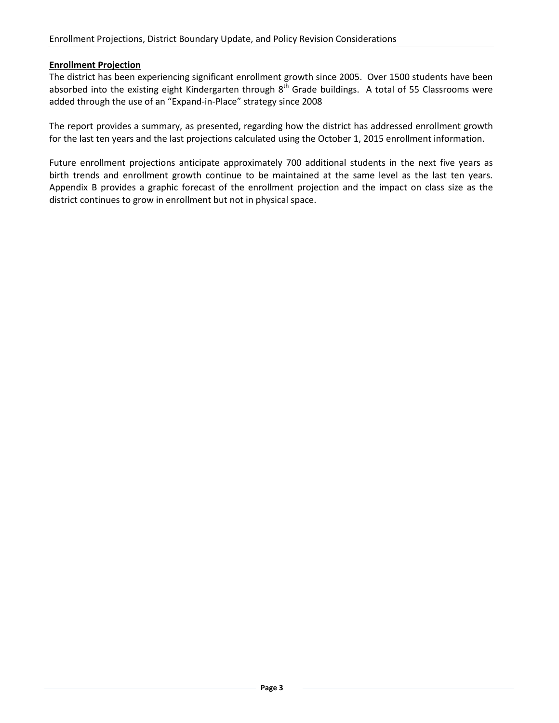#### **Enrollment Projection**

The district has been experiencing significant enrollment growth since 2005. Over 1500 students have been absorbed into the existing eight Kindergarten through  $8^{th}$  Grade buildings. A total of 55 Classrooms were added through the use of an "Expand-in-Place" strategy since 2008

The report provides a summary, as presented, regarding how the district has addressed enrollment growth for the last ten years and the last projections calculated using the October 1, 2015 enrollment information.

Future enrollment projections anticipate approximately 700 additional students in the next five years as birth trends and enrollment growth continue to be maintained at the same level as the last ten years. Appendix B provides a graphic forecast of the enrollment projection and the impact on class size as the district continues to grow in enrollment but not in physical space.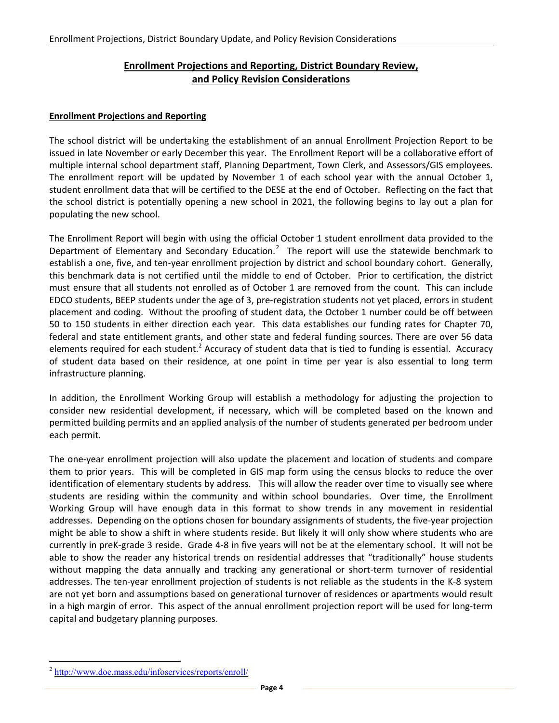# **Enrollment Projections and Reporting, District Boundary Review, and Policy Revision Considerations**

#### **Enrollment Projections and Reporting**

The school district will be undertaking the establishment of an annual Enrollment Projection Report to be issued in late November or early December this year. The Enrollment Report will be a collaborative effort of multiple internal school department staff, Planning Department, Town Clerk, and Assessors/GIS employees. The enrollment report will be updated by November 1 of each school year with the annual October 1, student enrollment data that will be certified to the DESE at the end of October. Reflecting on the fact that the school district is potentially opening a new school in 2021, the following begins to lay out a plan for populating the new school.

The Enrollment Report will begin with using the official October 1 student enrollment data provided to the Department of Elementary and Secondary Education.<sup>[2](#page-3-0)</sup> The report will use the statewide benchmark to establish a one, five, and ten-year enrollment projection by district and school boundary cohort. Generally, this benchmark data is not certified until the middle to end of October. Prior to certification, the district must ensure that all students not enrolled as of October 1 are removed from the count. This can include EDCO students, BEEP students under the age of 3, pre-registration students not yet placed, errors in student placement and coding. Without the proofing of student data, the October 1 number could be off between 50 to 150 students in either direction each year. This data establishes our funding rates for Chapter 70, federal and state entitlement grants, and other state and federal funding sources. There are over 56 data elements required for each student.<sup>2</sup> Accuracy of student data that is tied to funding is essential. Accuracy of student data based on their residence, at one point in time per year is also essential to long term infrastructure planning.

In addition, the Enrollment Working Group will establish a methodology for adjusting the projection to consider new residential development, if necessary, which will be completed based on the known and permitted building permits and an applied analysis of the number of students generated per bedroom under each permit.

The one-year enrollment projection will also update the placement and location of students and compare them to prior years. This will be completed in GIS map form using the census blocks to reduce the over identification of elementary students by address. This will allow the reader over time to visually see where students are residing within the community and within school boundaries. Over time, the Enrollment Working Group will have enough data in this format to show trends in any movement in residential addresses. Depending on the options chosen for boundary assignments of students, the five-year projection might be able to show a shift in where students reside. But likely it will only show where students who are currently in preK-grade 3 reside. Grade 4-8 in five years will not be at the elementary school. It will not be able to show the reader any historical trends on residential addresses that "traditionally" house students without mapping the data annually and tracking any generational or short-term turnover of residential addresses. The ten-year enrollment projection of students is not reliable as the students in the K-8 system are not yet born and assumptions based on generational turnover of residences or apartments would result in a high margin of error. This aspect of the annual enrollment projection report will be used for long-term capital and budgetary planning purposes.

<span id="page-3-0"></span><http://www.doe.mass.edu/infoservices/reports/enroll/>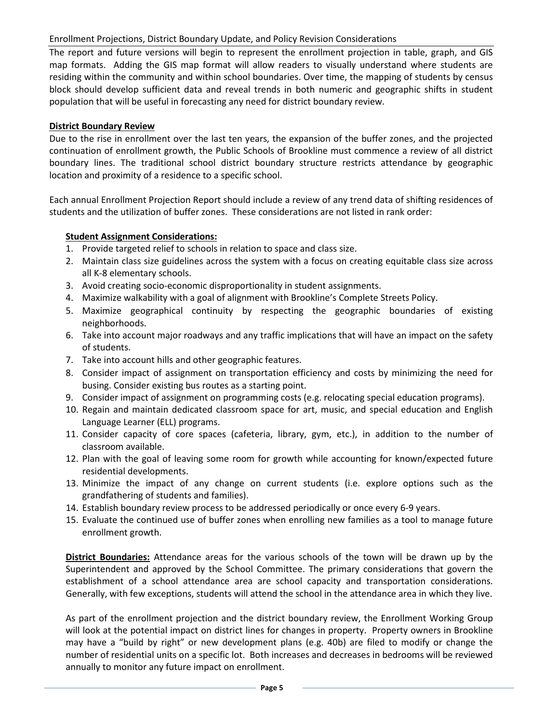The report and future versions will begin to represent the enrollment projection in table, graph, and GIS map formats. Adding the GIS map format will allow readers to visually understand where students are residing within the community and within school boundaries. Over time, the mapping of students by census block should develop sufficient data and reveal trends in both numeric and geographic shifts in student population that will be useful in forecasting any need for district boundary review.

#### **District Boundary Review**

Due to the rise in enrollment over the last ten years, the expansion of the buffer zones, and the projected continuation of enrollment growth, the Public Schools of Brookline must commence a review of all district boundary lines. The traditional school district boundary structure restricts attendance by geographic location and proximity of a residence to a specific school.

Each annual Enrollment Projection Report should include a review of any trend data of shifting residences of students and the utilization of buffer zones. These considerations are not listed in rank order:

### **Student Assignment Considerations:**

- 1. Provide targeted relief to schools in relation to space and class size.
- 2. Maintain class size guidelines across the system with a focus on creating equitable class size across all K-8 elementary schools.
- 3. Avoid creating socio-economic disproportionality in student assignments.
- 4. Maximize walkability with a goal of alignment with Brookline's Complete Streets Policy.
- 5. Maximize geographical continuity by respecting the geographic boundaries of existing neighborhoods.
- 6. Take into account major roadways and any traffic implications that will have an impact on the safety of students.
- 7. Take into account hills and other geographic features.
- 8. Consider impact of assignment on transportation efficiency and costs by minimizing the need for busing. Consider existing bus routes as a starting point.
- 9. Consider impact of assignment on programming costs (e.g. relocating special education programs).
- 10. Regain and maintain dedicated classroom space for art, music, and special education and English Language Learner (ELL) programs.
- 11. Consider capacity of core spaces (cafeteria, library, gym, etc.), in addition to the number of classroom available.
- 12. Plan with the goal of leaving some room for growth while accounting for known/expected future residential developments.
- 13. Minimize the impact of any change on current students (i.e. explore options such as the grandfathering of students and families).
- 14. Establish boundary review process to be addressed periodically or once every 6-9 years.
- 15. Evaluate the continued use of buffer zones when enrolling new families as a tool to manage future enrollment growth.

**District Boundaries:** Attendance areas for the various schools of the town will be drawn up by the Superintendent and approved by the School Committee. The primary considerations that govern the establishment of a school attendance area are school capacity and transportation considerations. Generally, with few exceptions, students will attend the school in the attendance area in which they live.

As part of the enrollment projection and the district boundary review, the Enrollment Working Group will look at the potential impact on district lines for changes in property. Property owners in Brookline may have a "build by right" or new development plans (e.g. 40b) are filed to modify or change the number of residential units on a specific lot. Both increases and decreases in bedrooms will be reviewed annually to monitor any future impact on enrollment.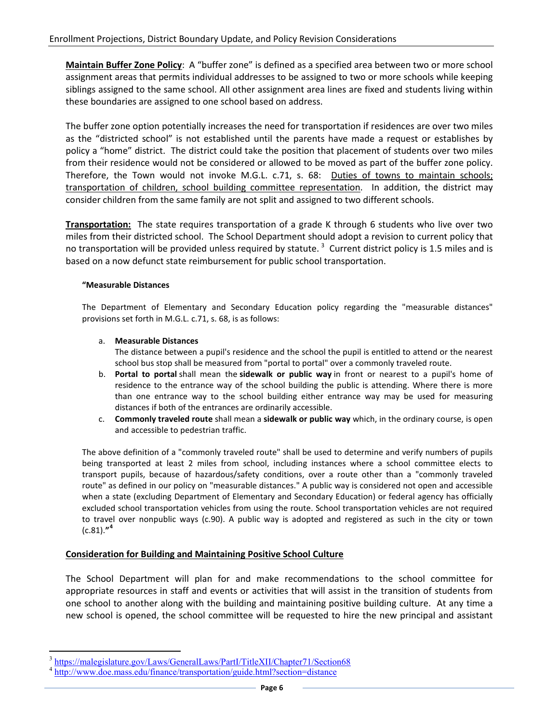**Maintain Buffer Zone Policy**: A "buffer zone" is defined as a specified area between two or more school assignment areas that permits individual addresses to be assigned to two or more schools while keeping siblings assigned to the same school. All other assignment area lines are fixed and students living within these boundaries are assigned to one school based on address.

The buffer zone option potentially increases the need for transportation if residences are over two miles as the "districted school" is not established until the parents have made a request or establishes by policy a "home" district. The district could take the position that placement of students over two miles from their residence would not be considered or allowed to be moved as part of the buffer zone policy. Therefore, the Town would not invoke M.G.L. c.71, s. 68: Duties of towns to maintain schools; transportation of children, school building committee representation. In addition, the district may consider children from the same family are not split and assigned to two different schools.

**Transportation:** The state requires transportation of a grade K through 6 students who live over two miles from their districted school. The School Department should adopt a revision to current policy that no transportation will be provided unless required by statute. <sup>[3](#page-5-0)</sup> Current district policy is 1.5 miles and is based on a now defunct state reimbursement for public school transportation.

#### **"Measurable Distances**

The Department of Elementary and Secondary Education policy regarding the "measurable distances" provisions set forth in M.G.L. c.71, s. 68, is as follows:

#### a. **Measurable Distances**

The distance between a pupil's residence and the school the pupil is entitled to attend or the nearest school bus stop shall be measured from "portal to portal" over a commonly traveled route.

- b. **Portal to portal** shall mean the **sidewalk or public way** in front or nearest to a pupil's home of residence to the entrance way of the school building the public is attending. Where there is more than one entrance way to the school building either entrance way may be used for measuring distances if both of the entrances are ordinarily accessible.
- c. **Commonly traveled route** shall mean a **sidewalk or public way** which, in the ordinary course, is open and accessible to pedestrian traffic.

The above definition of a "commonly traveled route" shall be used to determine and verify numbers of pupils being transported at least 2 miles from school, including instances where a school committee elects to transport pupils, because of hazardous/safety conditions, over a route other than a "commonly traveled route" as defined in our policy on "measurable distances." A public way is considered not open and accessible when a state (excluding Department of Elementary and Secondary Education) or federal agency has officially excluded school transportation vehicles from using the route. School transportation vehicles are not required to travel over nonpublic ways (c.90). A public way is adopted and registered as such in the city or town (c.81).**" [4](#page-5-1)**

#### **Consideration for Building and Maintaining Positive School Culture**

The School Department will plan for and make recommendations to the school committee for appropriate resources in staff and events or activities that will assist in the transition of students from one school to another along with the building and maintaining positive building culture. At any time a new school is opened, the school committee will be requested to hire the new principal and assistant

<span id="page-5-0"></span><https://malegislature.gov/Laws/GeneralLaws/PartI/TitleXII/Chapter71/Section68>

<span id="page-5-1"></span><http://www.doe.mass.edu/finance/transportation/guide.html?section=distance>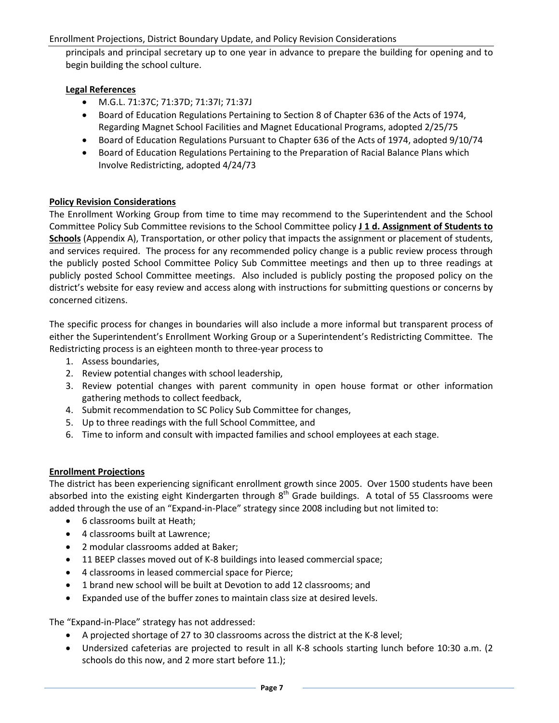principals and principal secretary up to one year in advance to prepare the building for opening and to begin building the school culture.

## **Legal References**

- M.G.L. 71:37C; 71:37D; 71:37I; 71:37J
- Board of Education Regulations Pertaining to Section 8 of Chapter 636 of the Acts of 1974, Regarding Magnet School Facilities and Magnet Educational Programs, adopted 2/25/75
- Board of Education Regulations Pursuant to Chapter 636 of the Acts of 1974, adopted 9/10/74
- Board of Education Regulations Pertaining to the Preparation of Racial Balance Plans which Involve Redistricting, adopted 4/24/73

### **Policy Revision Considerations**

The Enrollment Working Group from time to time may recommend to the Superintendent and the School Committee Policy Sub Committee revisions to the School Committee policy **J 1 d. Assignment of Students to Schools** (Appendix A), Transportation, or other policy that impacts the assignment or placement of students, and services required. The process for any recommended policy change is a public review process through the publicly posted School Committee Policy Sub Committee meetings and then up to three readings at publicly posted School Committee meetings. Also included is publicly posting the proposed policy on the district's website for easy review and access along with instructions for submitting questions or concerns by concerned citizens.

The specific process for changes in boundaries will also include a more informal but transparent process of either the Superintendent's Enrollment Working Group or a Superintendent's Redistricting Committee. The Redistricting process is an eighteen month to three-year process to

- 1. Assess boundaries,
- 2. Review potential changes with school leadership,
- 3. Review potential changes with parent community in open house format or other information gathering methods to collect feedback,
- 4. Submit recommendation to SC Policy Sub Committee for changes,
- 5. Up to three readings with the full School Committee, and
- 6. Time to inform and consult with impacted families and school employees at each stage.

#### **Enrollment Projections**

The district has been experiencing significant enrollment growth since 2005. Over 1500 students have been absorbed into the existing eight Kindergarten through  $8<sup>th</sup>$  Grade buildings. A total of 55 Classrooms were added through the use of an "Expand-in-Place" strategy since 2008 including but not limited to:

- 6 classrooms built at Heath;
- 4 classrooms built at Lawrence;
- 2 modular classrooms added at Baker;
- 11 BEEP classes moved out of K-8 buildings into leased commercial space;
- 4 classrooms in leased commercial space for Pierce;
- 1 brand new school will be built at Devotion to add 12 classrooms; and
- Expanded use of the buffer zones to maintain class size at desired levels.

The "Expand-in-Place" strategy has not addressed:

- A projected shortage of 27 to 30 classrooms across the district at the K-8 level;
- Undersized cafeterias are projected to result in all K-8 schools starting lunch before 10:30 a.m. (2 schools do this now, and 2 more start before 11.);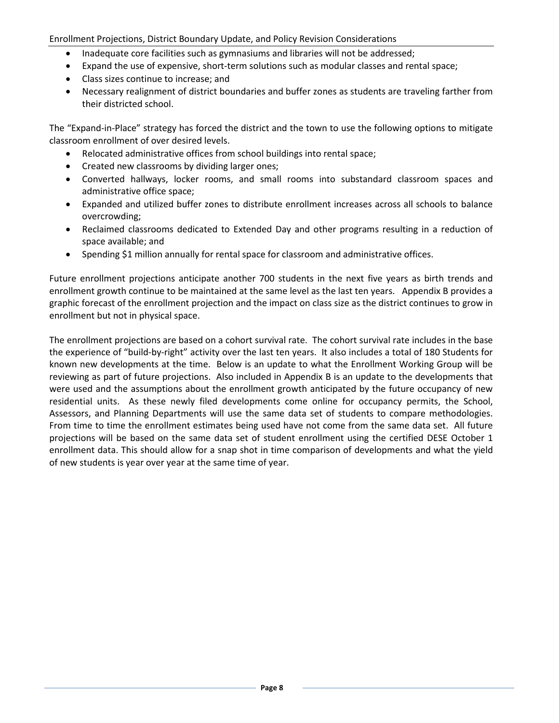- Inadequate core facilities such as gymnasiums and libraries will not be addressed;
- Expand the use of expensive, short-term solutions such as modular classes and rental space;
- Class sizes continue to increase; and
- Necessary realignment of district boundaries and buffer zones as students are traveling farther from their districted school.

The "Expand-in-Place" strategy has forced the district and the town to use the following options to mitigate classroom enrollment of over desired levels.

- Relocated administrative offices from school buildings into rental space;
- Created new classrooms by dividing larger ones;
- Converted hallways, locker rooms, and small rooms into substandard classroom spaces and administrative office space;
- Expanded and utilized buffer zones to distribute enrollment increases across all schools to balance overcrowding;
- Reclaimed classrooms dedicated to Extended Day and other programs resulting in a reduction of space available; and
- Spending \$1 million annually for rental space for classroom and administrative offices.

Future enrollment projections anticipate another 700 students in the next five years as birth trends and enrollment growth continue to be maintained at the same level as the last ten years. Appendix B provides a graphic forecast of the enrollment projection and the impact on class size as the district continues to grow in enrollment but not in physical space.

The enrollment projections are based on a cohort survival rate. The cohort survival rate includes in the base the experience of "build-by-right" activity over the last ten years. It also includes a total of 180 Students for known new developments at the time. Below is an update to what the Enrollment Working Group will be reviewing as part of future projections. Also included in Appendix B is an update to the developments that were used and the assumptions about the enrollment growth anticipated by the future occupancy of new residential units. As these newly filed developments come online for occupancy permits, the School, Assessors, and Planning Departments will use the same data set of students to compare methodologies. From time to time the enrollment estimates being used have not come from the same data set. All future projections will be based on the same data set of student enrollment using the certified DESE October 1 enrollment data. This should allow for a snap shot in time comparison of developments and what the yield of new students is year over year at the same time of year.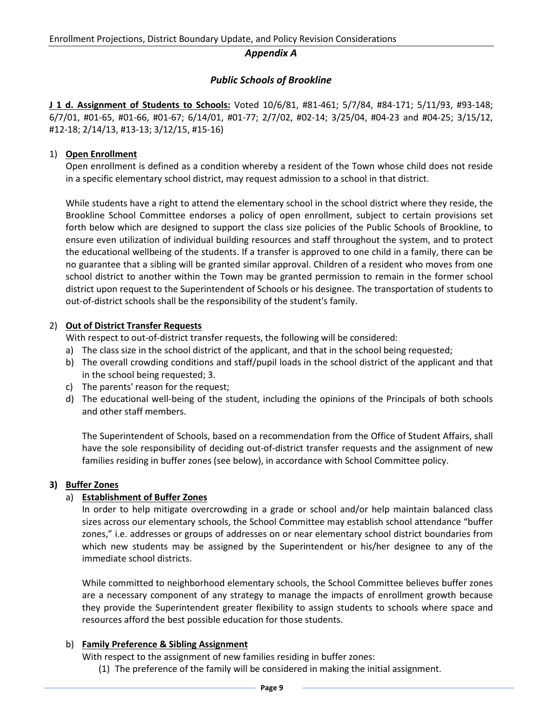#### *Appendix A*

# *Public Schools of Brookline*

**J 1 d. Assignment of Students to Schools:** Voted 10/6/81, #81-461; 5/7/84, #84-171; 5/11/93, #93-148; 6/7/01, #01-65, #01-66, #01-67; 6/14/01, #01-77; 2/7/02, #02-14; 3/25/04, #04-23 and #04-25; 3/15/12, #12-18; 2/14/13, #13-13; 3/12/15, #15-16)

### 1) **Open Enrollment**

Open enrollment is defined as a condition whereby a resident of the Town whose child does not reside in a specific elementary school district, may request admission to a school in that district.

While students have a right to attend the elementary school in the school district where they reside, the Brookline School Committee endorses a policy of open enrollment, subject to certain provisions set forth below which are designed to support the class size policies of the Public Schools of Brookline, to ensure even utilization of individual building resources and staff throughout the system, and to protect the educational wellbeing of the students. If a transfer is approved to one child in a family, there can be no guarantee that a sibling will be granted similar approval. Children of a resident who moves from one school district to another within the Town may be granted permission to remain in the former school district upon request to the Superintendent of Schools or his designee. The transportation of students to out-of-district schools shall be the responsibility of the student's family.

### 2) **Out of District Transfer Requests**

With respect to out-of-district transfer requests, the following will be considered:

- a) The class size in the school district of the applicant, and that in the school being requested;
- b) The overall crowding conditions and staff/pupil loads in the school district of the applicant and that in the school being requested; 3.
- c) The parents' reason for the request;
- d) The educational well-being of the student, including the opinions of the Principals of both schools and other staff members.

The Superintendent of Schools, based on a recommendation from the Office of Student Affairs, shall have the sole responsibility of deciding out-of-district transfer requests and the assignment of new families residing in buffer zones (see below), in accordance with School Committee policy.

#### **3) Buffer Zones**

# a) **Establishment of Buffer Zones**

In order to help mitigate overcrowding in a grade or school and/or help maintain balanced class sizes across our elementary schools, the School Committee may establish school attendance "buffer zones," i.e. addresses or groups of addresses on or near elementary school district boundaries from which new students may be assigned by the Superintendent or his/her designee to any of the immediate school districts.

While committed to neighborhood elementary schools, the School Committee believes buffer zones are a necessary component of any strategy to manage the impacts of enrollment growth because they provide the Superintendent greater flexibility to assign students to schools where space and resources afford the best possible education for those students.

#### b) **Family Preference & Sibling Assignment**

With respect to the assignment of new families residing in buffer zones:

(1) The preference of the family will be considered in making the initial assignment.